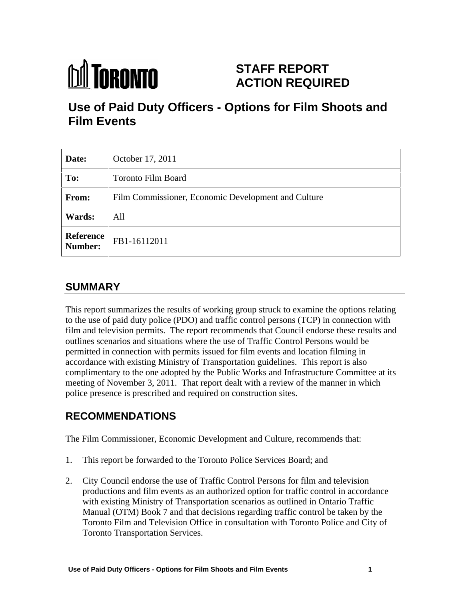

# **STAFF REPORT ACTION REQUIRED**

# **Use of Paid Duty Officers - Options for Film Shoots and Film Events**

| Date:         | October 17, 2011                                                                                                          |
|---------------|---------------------------------------------------------------------------------------------------------------------------|
| To:           | <b>Toronto Film Board</b>                                                                                                 |
| From:         | Film Commissioner, Economic Development and Culture                                                                       |
| <b>Wards:</b> | All                                                                                                                       |
|               | $\begin{array}{ c c c c }\n \hline \textbf{Reference} & \textbf{FB1-16112011} \\ \hline \textbf{Number:} & & \end{array}$ |

# **SUMMARY**

This report summarizes the results of working group struck to examine the options relating to the use of paid duty police (PDO) and traffic control persons (TCP) in connection with film and television permits. The report recommends that Council endorse these results and outlines scenarios and situations where the use of Traffic Control Persons would be permitted in connection with permits issued for film events and location filming in accordance with existing Ministry of Transportation guidelines. This report is also complimentary to the one adopted by the Public Works and Infrastructure Committee at its meeting of November 3, 2011. That report dealt with a review of the manner in which police presence is prescribed and required on construction sites.

# **RECOMMENDATIONS**

The Film Commissioner, Economic Development and Culture, recommends that:

- 1. This report be forwarded to the Toronto Police Services Board; and
- 2. City Council endorse the use of Traffic Control Persons for film and television productions and film events as an authorized option for traffic control in accordance with existing Ministry of Transportation scenarios as outlined in Ontario Traffic Manual (OTM) Book 7 and that decisions regarding traffic control be taken by the Toronto Film and Television Office in consultation with Toronto Police and City of Toronto Transportation Services.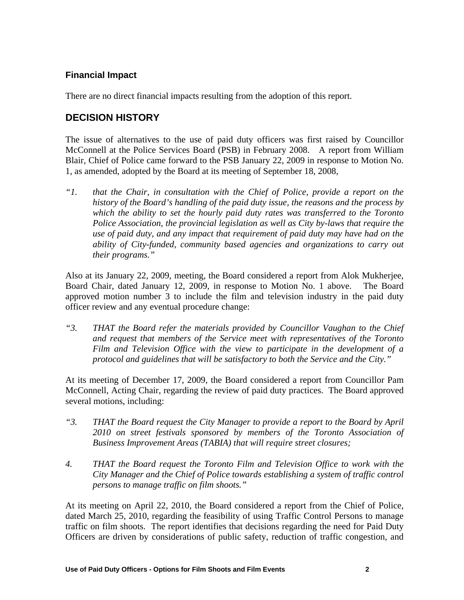#### **Financial Impact**

There are no direct financial impacts resulting from the adoption of this report.

# **DECISION HISTORY**

The issue of alternatives to the use of paid duty officers was first raised by Councillor McConnell at the Police Services Board (PSB) in February 2008. A report from William Blair, Chief of Police came forward to the PSB January 22, 2009 in response to Motion No. 1, as amended, adopted by the Board at its meeting of September 18, 2008,

*"1. that the Chair, in consultation with the Chief of Police, provide a report on the history of the Board's handling of the paid duty issue, the reasons and the process by which the ability to set the hourly paid duty rates was transferred to the Toronto Police Association, the provincial legislation as well as City by-laws that require the use of paid duty, and any impact that requirement of paid duty may have had on the ability of City-funded, community based agencies and organizations to carry out their programs."* 

Also at its January 22, 2009, meeting, the Board considered a report from Alok Mukherjee, Board Chair, dated January 12, 2009, in response to Motion No. 1 above. The Board approved motion number 3 to include the film and television industry in the paid duty officer review and any eventual procedure change:

*"3. THAT the Board refer the materials provided by Councillor Vaughan to the Chief and request that members of the Service meet with representatives of the Toronto Film and Television Of ice with the view to participate in the development of a protocol and guidelines that will be satisfactory to both the Service and the City."*

At its meeting of December 17, 2009, the Board considered a report from Councillor Pam McConnell, Acting Chair, regarding the review of paid duty practices. The Board approved several motions, including:

- *"3. THAT the Board request the City Manager to provide a report to theBoard by April 2010 on street festivals sponsored by members of the Toronto Association of Business Improvement Areas (TABIA) that will require street closures;*
- *4. THAT the Board request the Toronto Film and Television Of ice to work with the City Manager and the Chief of Police towards establishing a system of traffic control persons to manage traffic on film shoots."*

At its meeting on April 22, 2010, the Board considered a report from the Chief of Police, dated March 25, 2010, regarding the feasibility of using Traffic Control Persons to manage traffic on film shoots. The report identifies that decisions regarding the need for Paid Duty Officers are driven by considerations of public safety, reduction of traffic congestion, and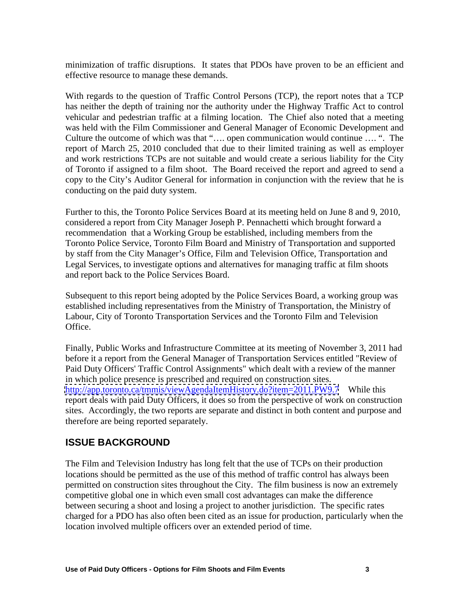minimization of traffic disruptions. It states that PDOs have proven to be an efficient and effective resource to manage these demands.

With regards to the question of Traffic Control Persons (TCP), the report notes that a TCP has neither the depth of training nor the authority under the Highway Traffic Act to control vehicular and pedestrian traffic at a filming location. The Chief also noted that a meeting was held with the Film Commissioner and General Manager of Economic Development and Culture the outcome of which was that "…. open communication would continue …. ". The report of March 25, 2010 concluded that due to their limited training as well as employer and work restrictions TCPs are not suitable and would create a serious liability for the City of Toronto if assigned to a film shoot. The Board received the report and agreed to send a copy to the City's Auditor General for information in conjunction with the review that he is conducting on the paid duty system.

Further to this, the Toronto Police Services Board at its meeting held on June 8 and 9, 2010, considered a report from City Manager Joseph P. Pennachetti which brought forward a recommendation that a Working Group be established, including members from the Toronto Police Service, Toronto Film Board and Ministry of Transportation and supported by staff from the City Manager's Office, Film and Television Office, Transportation and Legal Services, to investigate options and alternatives for managing traffic at film shoots and report back to the Police Services Board. Subsequent to this report being adopted by the Police Services Board, a working group was

established including representatives from the Ministry of Transportation, the Ministry of Labour, City of Toronto Transportation Services and the Toronto Film and Television Office.

Finally, Public Works and Infrastructure Committee at its meeting of November 3, 2011 had before it a report from the General Manager of Transportation Services entitled "Review of Paid Duty Officers' Traffic Control Assignments" which dealt with a review of the manner in which police presence is prescribed and required on construction sites. <http://app.toronto.ca/tmmis/viewAgendaItemHistory.do?item=2011.PW9.7> While this report deals with paid Duty Officers, it does so from the perspective of work on construction sites. Accordingly, the two reports are separate and distinct in both content and purpose and therefore are being reported separately.

# **ISSUE BACKGROUND**

The Film and Television Industry has long felt that the use of TCPs on their production locations should be permitted as the use of this method of traffic control has always been permitted on construction sites throughout the City. The film business is now an extremely competitive global one in which even small cost advantages can make the difference between securing a shoot and losing a project to another jurisdiction. The specific rates charged for a PDO has also often been cited as an issue for production, particularly when the location involved multiple officers over an extended period of time.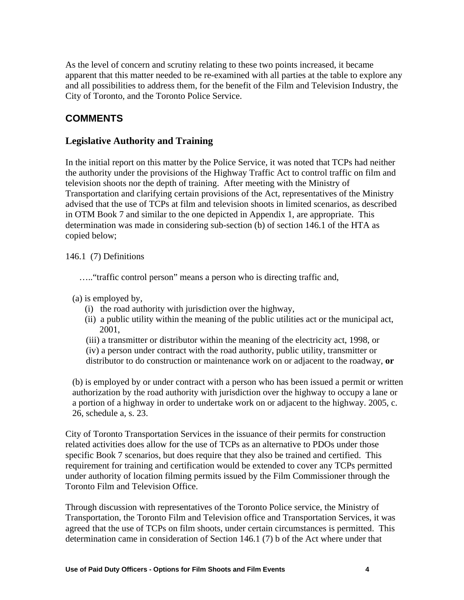As the level of concern and scrutiny relating to these two points increased, it became apparent that this matter needed to be re-examined with all parties at the table to explore any and all possibilities to address them, for the benefit of the Film and Television Industry, the City of Toronto, and the Toronto Police Service.

# **COMMENTS**

#### **Legislative Authority and Training**

In the initial report on this matter by the Police Service, it was noted that TCPs had neither the authority under the provisions of the Highway Traffic Act to control traffic on film and television shoots nor the depth of training. After meeting with the Ministry of Transportation and clarifying certain provisions of the Act, representatives of the Ministry advised that the use of TCPs at film and television shoots in limited scenarios, as described in OTM Book 7 and similar to the one depicted in Appendix 1, are appropriate. This determination was made in considering sub-section (b) of section 146.1 of the HTA as copied below;

146.1 (7) Definitions

….."traffic control person" means a person who is directing traffic and,

- (a) is employed by,
	- (i) the road authority with jurisdiction over the highway,
	- (ii) a public utility within the meaning of the public utilities act or the municipal act, 2001,
	- (iii) a transmitter or distributor within the meaning of the electricity act, 1998, or
	- (iv) a person under contract with the road authority, public utility, transmitter or
	- distributor to do construction or maintenance work on or adjacent to the roadway, **or**

(b) is employed by or under contract with a person who has been issued a permit or written authorization by the road authority with jurisdiction over the highway to occupy a lane or a portion of a highway in order to undertake work on or adjacent to the highway. 2005, c. 26, schedule a, s. 23.

City of Toronto Transportation Services in the issuance of their permits for construction related activities does allow for the use of TCPs as an alternative to PDOs under those specific Book 7 scenarios, but does require that they also be trained and certified. This requirement for training and certification would be extended to cover any TCPs permitted under authority of location filming permits issued by the Film Commissioner through the Toronto Film and Television Office.

Through discussion with representatives of the Toronto Police service, the Ministry of Transportation, the Toronto Film and Television office and Transportation Services, it was agreed that the use of TCPs on film shoots, under certain circumstances is permitted. This determination came in consideration of Section 146.1 (7) b of the Act where under that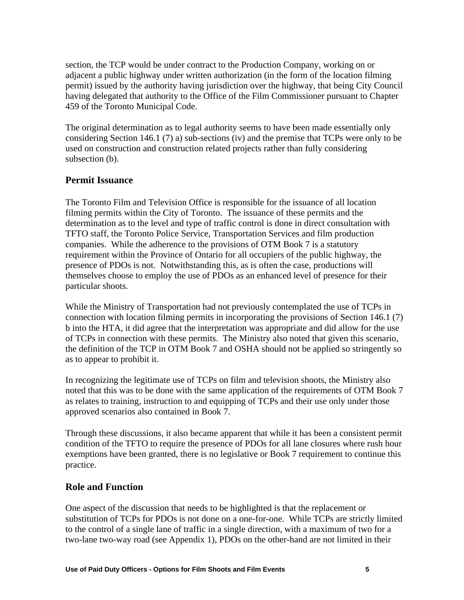section, the TCP would be under contract to the Production Company, working on or adjacent a public highway under written authorization (in the form of the location filming permit) issued by the authority having jurisdiction over the highway, that being City Council having delegated that authority to the Office of the Film Commissioner pursuant to Chapter 459 of the Toronto Municipal Code.

The original determination as to legal authority seems to have been made essentially only considering Section 146.1 (7) a) sub-sections (iv) and the premise that TCPs were only to be used on construction and construction related projects rather than fully considering subsection (b).

### **Permit Issuance**

The Toronto Film and Television Office is responsible for the issuance of all location filming permits within the City of Toronto. The issuance of these permits and the determination as to the level and type of traffic control is done in direct consultation with TFTO staff, the Toronto Police Service, Transportation Services and film production companies. While the adherence to the provisions of OTM Book 7 is a statutory requirement within the Province of Ontario for all occupiers of the public highway, the presence of PDOs is not. Notwithstanding this, as is often the case, productions will themselves choose to employ the use of PDOs as an enhanced level of presence for their

particular shoots.<br>While the Ministry of Transportation had not previously contemplated the use of TCPs in connection with location filming permits in incorporating the provisions of Section 146.1 (7) b into the HTA, it did agree that the interpretation was appropriate and did allow for the use of TCPs in connection with these permits. The Ministry also noted that given this scenario, the definition of the TCP in OTM Book 7 and OSHA should not be applied so stringently so as to appear to prohibit it.

In recognizing the legitimate use of TCPs on film and television shoots, the Ministry also noted that this was to be done with the same application of the requirements of OTM Book 7 as relates to training, instruction to and equipping of TCPs and their use only under those approved scenarios also contained in Book 7.

Through these discussions, it also became apparent that while it has been a consistent permit condition of the TFTO to require the presence of PDOs for all lane closures where rush hour exemptions have been granted, there is no legislative or Book 7 requirement to continue this practice.

#### **Role and Function**

One aspect of the discussion that needs to be highlighted is that the replacement or substitution of TCPs for PDOs is not done on a one-for-one. While TCPs are strictly limited to the control of a single lane of traffic in a single direction, with a maximum of two for a two-lane two-way road (see Appendix 1), PDOs on the other-hand are not limited in their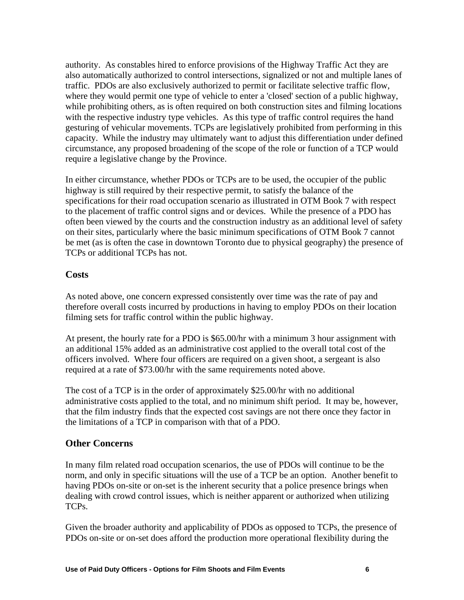authority. As constables hired to enforce provisions of the Highway Traffic Act they are also automatically authorized to control intersections, signalized or not and multiple lanes of traffic. PDOs are also exclusively authorized to permit or facilitate selective traffic flow, where they would permit one type of vehicle to enter a 'closed' section of a public highway, while prohibiting others, as is often required on both construction sites and filming locations with the respective industry type vehicles. As this type of traffic control requires the hand gesturing of vehicular movements. TCPs are legislatively prohibited from performing in this capacity. While the industry may ultimately want to adjust this differentiation under defined circumstance, any proposed broadening of the scope of the role or function of a TCP would require a legislative change by the Province.

In either circumstance, whether PDOs or TCPs are to be used, the occupier of the public highway is still required by their respective permit, to satisfy the balance of the specifications for their road occupation scenario as illustrated in OTM Book 7 with respect to the placement of traffic control signs and or devices. While the presence of a PDO has often been viewed by the courts and the construction industry as an additional level of safety on their sites, particularly where the basic minimum specifications of OTM Book 7 cannot be met (as is often the case in downtown Toronto due to physical geography) the presence of TCPs or additional TCPs has not.

#### **Costs**

As noted above, one concern expressed consistently over time was the rate of pay and therefore overall costs incurred by productions in having to employ PDOs on their location filming sets for traffic control within the public highway.

At present, the hourly rate for a PDO is \$65.00/hr with a minimum 3 hour assignment with an additional 15% added as an administrative cost applied to the overall total cost of the officers involved. Where four officers are required on a given shoot, a sergeant is also required at a rate of \$73.00/hr with the same requirements noted above.

The cost of a TCP is in the order of approximately \$25.00/hr with no additional administrative costs applied to the total, and no minimum shift period. It may be, however, that the film industry finds that the expected cost savings are not there once they factor in the limitations of a TCP in comparison with that of a PDO.

#### **Other Concerns**

In many film related road occupation scenarios, the use of PDOs will continue to be the norm, and only in specific situations will the use of a TCP be an option. Another benefit to having PDOs on-site or on-set is the inherent security that a police presence brings when dealing with crowd control issues, which is neither apparent or authorized when utilizing

TCPs.<br>Given the broader authority and applicability of PDOs as opposed to TCPs, the presence of PDOs on-site or on-set does afford the production more operational flexibility during the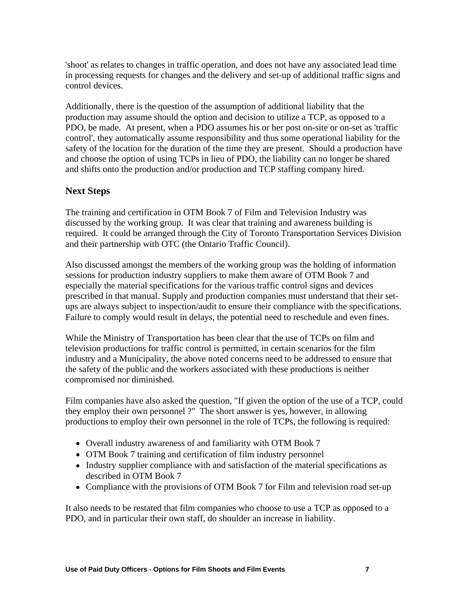'shoot' as relates to changes in traffic operation, and does not have any associated lead time in processing requests for changes and the delivery and set-up of additional traffic signs and control devices.

Additionally, there is the question of the assumption of additional liability that the production may assume should the option and decision to utilize a TCP, as opposed to a PDO, be made. At present, when a PDO assumes his or her post on-site or on-set as 'traffic control', they automatically assume responsibility and thus some operational liability for the safety of the location for the duration of the time they are present. Should a production have and choose the option of using TCPs in lieu of PDO, the liability can no longer be shared and shifts onto the production and/or production and TCP staffing company hired.

# **Next Steps**

The training and certification in OTM Book 7 of Film and Television Industry was discussed by the working group. It was clear that training and awareness building is required. It could be arranged through the City of Toronto Transportation Services Division and their partnership with OTC (the Ontario Traffic Council).

Also discussed amongst the members of the working group was the holding of information sessions for production industry suppliers to make them aware of OTM Book 7 and especially the material specifications for the various traffic control signs and devices prescribed in that manual. Supply and production companies must understand that their set ups are always subject to inspection/audit to ensure their compliance with the specifications. Failure to comply would result in delays, the potential need to reschedule and even fines.

While the Ministry of Transportation has been clear that the use of TCPs on film and television productions for traffic control is permitted, in certain scenarios for the film industry and a Municipality, the above noted concerns need to be addressed to ensure that the safety of the public and the workers associated with these productions is neither compromised nor diminished.

Film companies have also asked the question, "If given the option of the use of a TCP, could they employ their own personnel ?"The short answer is yes, however, in allowing productions to employ their own personnel in the role of TCPs, the following is required:

- Overall industry awareness of and familiarity with OTM Book 7
- OTM Book 7 training and certification of film industry personnel
- Industry supplier compliance with and satisfaction of the material specifications as described in OTM Book 7
- Compliance with the provisions of OTM Book 7 for Film and television road set-up

It also needs to be restated that film companies who choose to use a TCP as opposed to a PDO, and in particular their own staff, do shoulder an increase in liability.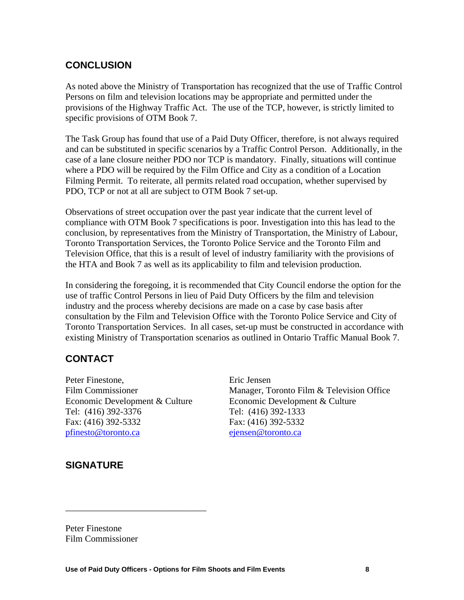### **CONCLUSION**

As noted above the Ministry of Transportation has recognized that the use of Traffic Control Persons on film and television locations may be appropriate and permitted under the provisions of the Highway Traffic Act. The use of the TCP, however, is strictly limited to specific provisions of OTM Book 7.

The Task Group has found that use of a Paid Duty Officer, therefore, is not always required and can be substituted in specific scenarios by a Traffic Control Person. Additionally, in the case of a lane closure neither PDO nor TCP is mandatory. Finally, situations will continue where a PDO will be required by the Film Office and City as a condition of a Location Filming Permit. To reiterate, all permits related road occupation, whether supervised by PDO, TCP or not at all are subject to OTM Book 7 set-up. Observations of street occupation over the past year indicate that the current level of

compliance with OTM Book 7 specifications is poor. Investigation into this has lead to the conclusion, by representatives from the Ministry of Transportation, the Ministry of Labour, Toronto Transportation Services, the Toronto Police Service and the Toronto Film and Television Office, that this is a result of level of industry familiarity with the provisions of the HTA and Book 7 as well as its applicability to film and television production.

In considering the foregoing, it is recommended that City Council endorse the option for the use of traffic Control Persons in lieu of Paid Duty Officers by the film and television industry and the process whereby decisions are made on a case by case basis after consultation by the Film and Television Office with the Toronto Police Service and City of Toronto Transportation Services. In all cases, set-up must be constructed in accordance with existing Ministry of Transportation scenarios as outlined in Ontario Traffic Manual Book 7.

# **CONTACT**

Peter Finestone, Eric Jensen Film Commissioner **Manager, Toronto Film & Television Office** Economic Development & Culture Economic Development & Culture Tel: (416) 392-3376 Tel: (416) 392-1333 Fax: (416) 392-5332 Fax: (416) 392-5332 pfinesto@toronto.ca ejensen@toronto.ca ejensen@toronto.ca

# **SIGNATURE**

Peter Finestone Film Commissioner

\_\_\_\_\_\_\_\_\_\_\_\_\_\_\_\_\_\_\_\_\_\_\_\_\_\_\_\_\_\_\_